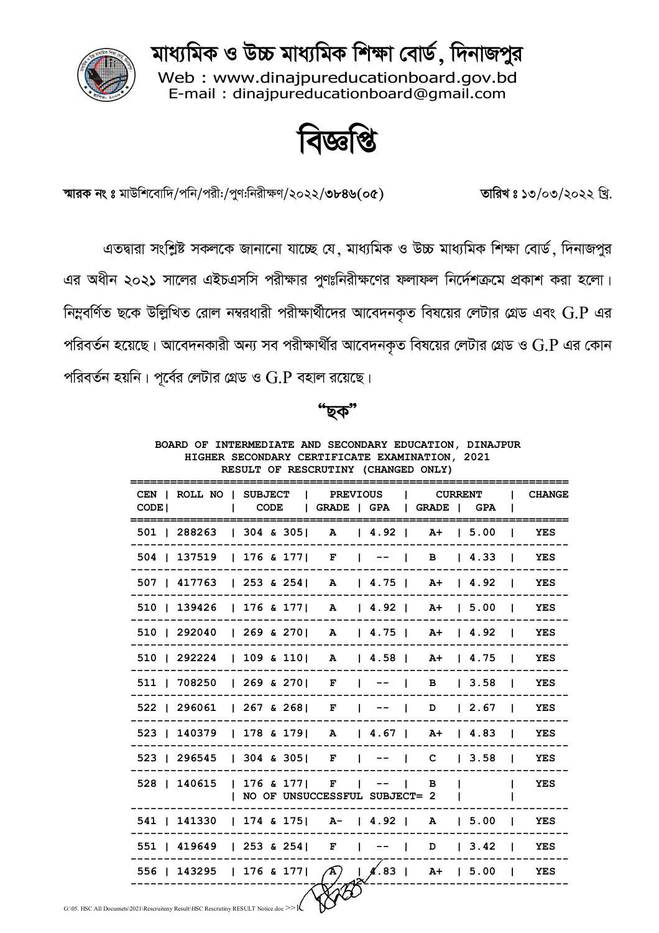মাধ্যমিক ও উচ্চ মাধ্যমিক শিক্ষা বোর্ড, দিনাজপুর



Web: www.dinajpureducationboard.gov.bd E-mail: dinajpureducationboard@gmail.com

ष्ट्वार्थ

স্মারক নং ঃ মাউশিবোদি/পনি/পরী:/পুণ:নিরীক্ষণ/২০২২/৩৮৪৬(০৫) তারিখ ঃ ১৩/০৩/২০২২ খি.

এতদ্বারা সংশ্লিষ্ট সকলকে জানানো যাচ্ছে যে, মাধ্যমিক ও উচ্চ মাধ্যমিক শিক্ষা বোর্ড, দিনাজপুর এর অধীন ২০২১ সালের এইচএসসি পরীক্ষার পুণঃনিরীক্ষণের ফলাফল নির্দেশক্রমে প্রকাশ করা হলো। নিম্নবর্ণিত ছকে উল্লিখিত রোল নম্বরধারী পরীক্ষার্থীদের আবেদনকৃত বিষয়ের লেটার গ্রেড এবং  $\operatorname{G.P}$  এর পরিবর্তন হয়েছে। আবেদনকারী অন্য সব পরীক্ষার্থীর আবেদনকৃত বিষয়ের লেটার গ্রেড ও  $\mathrm{G}.\mathrm{P}$  এর কোন পরিবর্তন হয়নি। পূর্বের লেটার গ্রেড ও  $\operatorname{G.P}$  বহাল রয়েছে।

ছক"

| BOARD OF INTERMEDIATE AND SECONDARY EDUCATION, DINAJPUR                   |      | HIGHER SECONDARY CERTIFICATE EXAMINATION, 2021<br>RESULT OF RESCRUTINY (CHANGED ONLY) |  |                     |            |              |               |
|---------------------------------------------------------------------------|------|---------------------------------------------------------------------------------------|--|---------------------|------------|--------------|---------------|
| CEN   ROLL NO   SUBJECT<br>CODE <sup>1</sup>                              | CODE | <b>PREVIOUS</b><br>  GRADE   GPA   GRADE   GPA                                        |  | <b>CURRENT</b>      |            |              | <b>CHANGE</b> |
| 501   288263   304 & 305   A   4.92                                       |      |                                                                                       |  |                     | A+ 15.00 1 |              | YES           |
| $504$   137519   176 & 177   F   --   B   4.33                            |      |                                                                                       |  |                     |            |              | YES           |
| $507$   417763   253 & 254   A   4.75   A+   4.92                         |      |                                                                                       |  |                     |            |              | YES           |
| 510   139426   176 & 177   A   4.92   A+   5.00                           |      |                                                                                       |  |                     |            |              | YES           |
| 510   292040   269 & 270   A   4.75   A+   4.92                           |      |                                                                                       |  |                     |            |              | YES           |
| 510   292224   109 & 110   A   4.58   A+   4.75   YES                     |      |                                                                                       |  |                     |            |              |               |
| $511$   708250   269 & 270   F   --   B   3.58                            |      |                                                                                       |  |                     |            |              | YES           |
| 522   296061   267 & 268   F   --   D   2.67                              |      |                                                                                       |  |                     |            |              | YES           |
| 523   140379   178 & 179   A   4.67   A+   4.83   YES                     |      |                                                                                       |  |                     |            |              |               |
| 523   296545   304 & 305   F   --   C   3.58   YES                        |      |                                                                                       |  |                     |            |              |               |
| 528   140615   176 & 177   F   --                                         |      | NO OF UNSUCCESSFUL SUBJECT= 2                                                         |  | $\blacksquare$<br>в |            | $\mathbf{I}$ | YES           |
| 541   141330   174 & 175   A-   4.92   A   5.00   YES                     |      |                                                                                       |  |                     |            |              |               |
| 551   419649   253 & 254   F   --   D   3.42   YES                        |      |                                                                                       |  |                     |            |              |               |
| 556   143295   176 & 177   $\bigwedge$   $\bigwedge$ 83   A+   5.00   YES |      |                                                                                       |  |                     |            |              |               |
|                                                                           |      |                                                                                       |  |                     |            |              |               |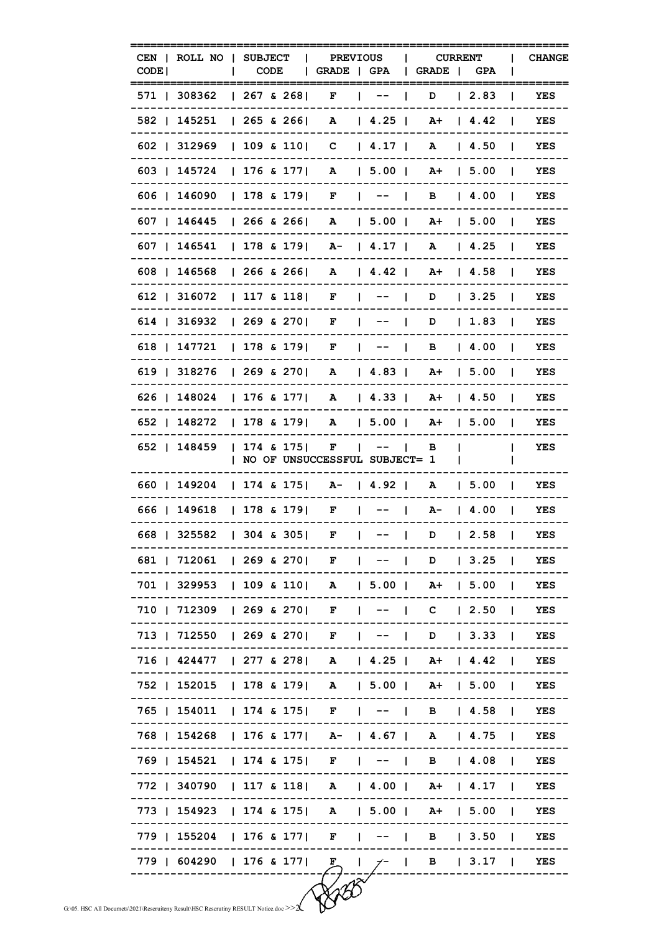|                                                                                         | CODE <sub>1</sub> |  | CEN   ROLL NO   SUBJECT   PREVIOUS   CURRENT  <br>  CODE   GRADE   GPA   GRADE   GPA |                |                                   |                  |                                         |                | <b>CHANGE</b> |
|-----------------------------------------------------------------------------------------|-------------------|--|--------------------------------------------------------------------------------------|----------------|-----------------------------------|------------------|-----------------------------------------|----------------|---------------|
|                                                                                         |                   |  | 571   308362   267 & 268   F   --   D   2.83                                         |                |                                   |                  |                                         |                | YES           |
|                                                                                         |                   |  | 582   145251   265 & 266   A   4.25   A +   4.42                                     | -------------- |                                   | --------         |                                         |                | YES           |
|                                                                                         |                   |  | 602   312969   109 & 110   C   4.17   A   4.50                                       |                |                                   |                  |                                         |                | YES           |
|                                                                                         |                   |  | 603   145724   176 & 177   A   5.00   A+   5.00                                      |                |                                   |                  |                                         |                | YES           |
|                                                                                         |                   |  | 606   146090   178 & 179   F   --   B   4.00   YES                                   |                |                                   |                  |                                         |                |               |
|                                                                                         |                   |  | 607   146445   266 & 266   A   5.00   A+   5.00   YES                                |                |                                   |                  |                                         |                |               |
|                                                                                         |                   |  | 607   146541   178 & 179   A-   4.17   A   4.25   YES                                |                |                                   |                  |                                         |                |               |
|                                                                                         |                   |  | 608   146568   266 & 266   A   4.42   A+   4.58   YES                                |                |                                   |                  |                                         |                |               |
|                                                                                         |                   |  | 612   316072   117 & 118   F   --   D   3.25   YES                                   |                |                                   |                  |                                         |                |               |
|                                                                                         |                   |  | 614   316932   269 & 270   F   --   D   1.83   YES                                   |                |                                   |                  |                                         |                |               |
|                                                                                         |                   |  | 618   147721   178 & 179   F   --   B   4.00   YES                                   |                |                                   |                  |                                         |                |               |
|                                                                                         |                   |  | 619   318276   269 & 270   A   4.83   A+   5.00   YES                                |                |                                   |                  |                                         |                |               |
|                                                                                         |                   |  | 626   148024   176 & 177   A   4.33   A+   4.50   YES                                |                |                                   |                  |                                         |                |               |
|                                                                                         |                   |  | 652   148272   178 & 179   A   5.00   A+   5.00   YES                                |                |                                   |                  |                                         |                |               |
|                                                                                         |                   |  | 652   148459   174 & 175   F   --   B  <br>  NO OF UNSUCCESSFUL SUBJECT= 1           |                |                                   |                  |                                         | $\mathbf{L}$   | YES           |
|                                                                                         |                   |  | 660   149204   174 & 175   A-   4.92   A   5.00   YES                                | -------------  |                                   |                  |                                         |                |               |
|                                                                                         |                   |  | 666   149618   178 & 179   F   --   A-   4.00                                        |                |                                   |                  |                                         |                | YES           |
|                                                                                         |                   |  | 668   325582   304 & 305   F   --   D   2.58   YES                                   |                |                                   |                  |                                         |                |               |
|                                                                                         |                   |  | 681   712061   269 & 270   F                                                         |                | $   -$                            |                  | D   3.25                                |                | YES           |
|                                                                                         |                   |  | 701   329953   109 & 110   A   5.00   A+   5.00                                      |                |                                   |                  |                                         | $\blacksquare$ | YES           |
|                                                                                         |                   |  | 710   712309   269 & 270   F                                                         |                | $-- \blacksquare$<br>$\mathbf{I}$ |                  | $C \begin{array}{ccc} 2.50 \end{array}$ |                | YES           |
|                                                                                         |                   |  | 713   712550   269 & 270   F                                                         |                | $\blacksquare$                    |                  | $D$   3.33                              |                | <b>YES</b>    |
|                                                                                         |                   |  | 716   424477   277 & 278   A   4.25   A+   4.42                                      |                |                                   |                  |                                         |                | YES           |
|                                                                                         |                   |  | 752   152015   178 & 179   A   5.00   A+   5.00                                      |                |                                   |                  |                                         |                | YES           |
|                                                                                         |                   |  | 765   154011   174 & 175   F   --   B   4.58                                         |                |                                   |                  |                                         |                | YES           |
|                                                                                         |                   |  | 768   154268   176 & 177   A-   4.67   A   4.75                                      |                |                                   |                  |                                         |                | YES           |
|                                                                                         |                   |  | 769   154521   174 & 175   F   --   B   4.08                                         |                |                                   |                  |                                         |                | YES           |
|                                                                                         |                   |  | 772   340790   117 & 118   A   4.00   A+   4.17                                      |                |                                   |                  |                                         |                | YES           |
|                                                                                         |                   |  | 773   154923   174 & 175   A   5.00   A+   5.00                                      |                |                                   |                  |                                         |                | YES           |
|                                                                                         |                   |  | 779   155204   176 & 177   F                                                         |                | $   -$                            |                  | B   3.50                                |                | YES           |
|                                                                                         |                   |  | 779   604290   176 & 177                                                             | F              | $\mathbf{I}$                      | $7 - 1$ B   3.17 |                                         |                | YES           |
| G:\05. HSC All Documets\2021\Rescruiteny Result\HSC Rescrutiny RESULT Notice.doc >> $2$ |                   |  |                                                                                      |                |                                   |                  |                                         |                |               |
|                                                                                         |                   |  |                                                                                      |                |                                   |                  |                                         |                |               |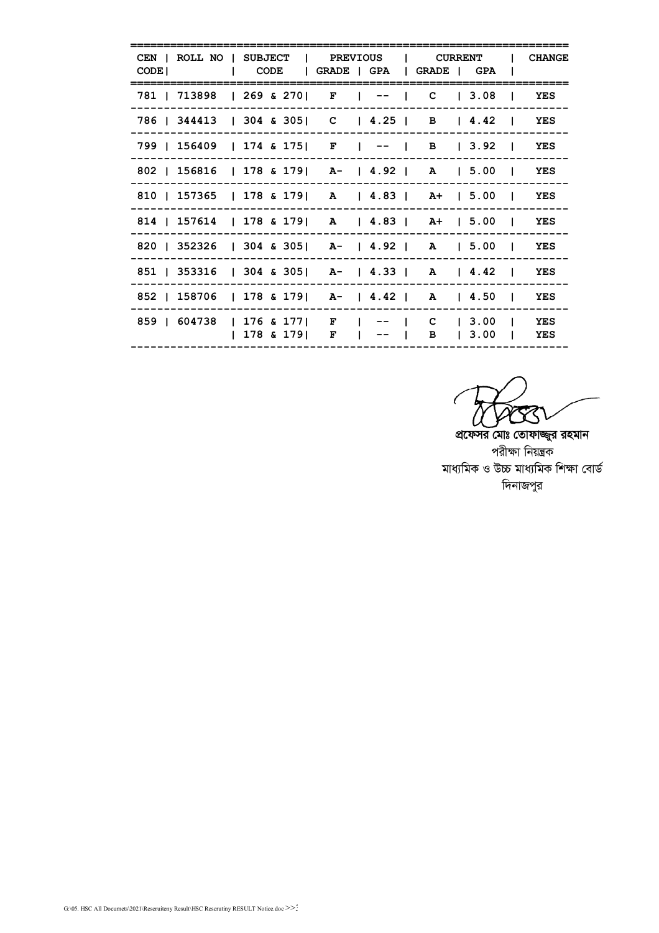| CODE I | CEN   ROLL NO   SUBJECT   PREVIOUS   CURRENT  <br>  CODE   GRADE   GPA   GRADE   GPA |  |  |                      |               |  |                                                                   | <b>CHANGE</b> |
|--------|--------------------------------------------------------------------------------------|--|--|----------------------|---------------|--|-------------------------------------------------------------------|---------------|
|        | 781   713898   269 & 270   F   --   C   3.08                                         |  |  |                      |               |  |                                                                   | YES           |
|        | 786   344413   304 & 305   C   4.25   B   4.42   YES                                 |  |  |                      |               |  |                                                                   |               |
|        | 799   156409   174 & 175   F   --   B   3.92   YES                                   |  |  |                      |               |  |                                                                   |               |
|        | 802   156816   178 & 179   A-   4.92   A   5.00   YES                                |  |  |                      |               |  |                                                                   |               |
|        | 810   157365   178 & 179   A   4.83   A+   5.00   YES                                |  |  |                      |               |  |                                                                   |               |
|        | 814   157614   178 & 179   A   4.83   A+   5.00   YES                                |  |  |                      |               |  |                                                                   |               |
|        | 820   352326   304 & 305   A-   4.92   A   5.00   YES                                |  |  |                      |               |  |                                                                   |               |
|        | 851   353316   304 & 305   A-   4.33   A   4.42   YES                                |  |  |                      |               |  |                                                                   |               |
|        | 852   158706   178 & 179   A-   4.42   A   4.50   YES                                |  |  |                      |               |  |                                                                   |               |
|        | 859   604738   176 & 177   F                                                         |  |  | $ 178 \& 179 $ F $ $ | $---$<br>-- - |  | $C \begin{array}{ccc} 1 & 3.00 \end{array}$ TES<br>B   3.00   YES |               |

 $\boxtimes$ 

প্রফেসর মোঃ তোফাজ্জুর রহমান পরীক্ষা নিয়ন্ত্রক মাধ্যমিক ও উচ্চ মাধ্যমিক শিক্ষা বোৰ্ড দিনাজপুর